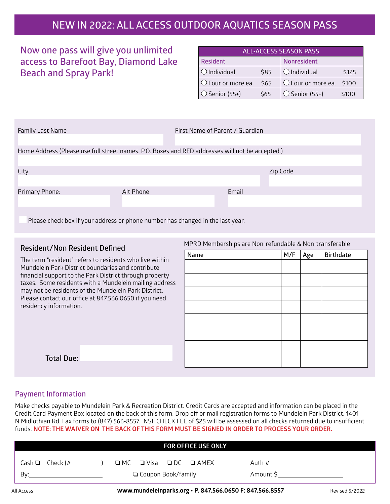## **NEW IN 2022: ALL ACCESS OUTDOOR AQUATICS SEASON PASS**

### **Now one pass will give you unlimited access to Barefoot Bay, Diamond Lake Beach and Spray Park!**

| <b>ALL-ACCESS SEASON PASS</b> |      |                                |       |  |  |
|-------------------------------|------|--------------------------------|-------|--|--|
| <b>Resident</b>               |      | <b>Nonresident</b>             |       |  |  |
| $\bigcirc$ Individual         | \$85 | $\bigcirc$ Individual          | \$125 |  |  |
| O Four or more ea.            | \$65 | $\circ$ Four or more ea. \$100 |       |  |  |
| $\bigcirc$ Senior (55+)       | \$65 | $\circ$ Senior (55+)           | \$100 |  |  |

| Family Last Name                                                                                |           | First Name of Parent / Guardian |       |          |
|-------------------------------------------------------------------------------------------------|-----------|---------------------------------|-------|----------|
| Home Address (Please use full street names. P.O. Boxes and RFD addresses will not be accepted.) |           |                                 |       |          |
| City                                                                                            |           |                                 |       | Zip Code |
| Primary Phone:                                                                                  | Alt Phone |                                 | Email |          |
| Please check box if your address or phone number has changed in the last year.                  |           |                                 |       |          |

### **Resident/Non Resident Defined**

The term "resident" refers to residents who live within Mundelein Park District boundaries and contribute financial support to the Park District through property taxes. Some residents with a Mundelein mailing address may not be residents of the Mundelein Park District. Please contact our office at 847.566.0650 if you need residency information.

| Name | $M/F$   Age | <b>Birthdate</b> |
|------|-------------|------------------|
|      |             |                  |
|      |             |                  |
|      |             |                  |
|      |             |                  |
|      |             |                  |
|      |             |                  |
|      |             |                  |
|      |             |                  |
|      |             |                  |

MPRD Memberships are Non-refundable & Non-transferable

### **Payment Information**

**Total Due:** 

Make checks payable to Mundelein Park & Recreation District. Credit Cards are accepted and information can be placed in the Credit Card Payment Box located on the back of this form. Drop off or mail registration forms to Mundelein Park District, 1401 N Midlothian Rd. Fax forms to (847) 566-8557. NSF CHECK FEE of \$25 will be assessed on all checks returned due to insufficient funds. **NOTE: THE WAIVER ON THE BACK OF THIS FORM MUST BE SIGNED IN ORDER TO PROCESS YOUR ORDER.**

|                      | <b>FOR OFFICE USE ONLY</b>                  |           |
|----------------------|---------------------------------------------|-----------|
| Cash $\Box$ Check (# | $\Box$ MC $\Box$ Visa $\Box$ DC $\Box$ AMEX | Auth #    |
| Bv:                  | □ Coupon Book/family                        | Amount \$ |

All Access **www.mundeleinparks.org • P. 847.566.0650 F: 847.566.8557** Revised 5/2022